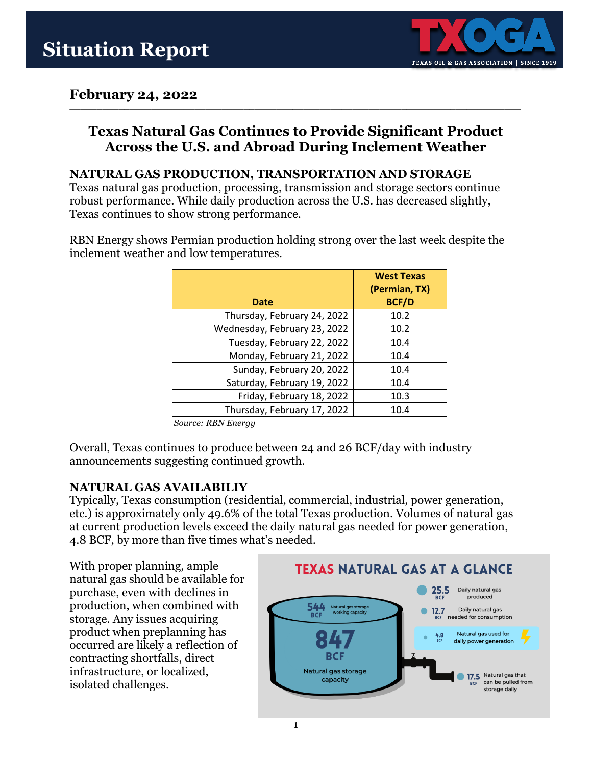

### **February 24, 2022**

### **Texas Natural Gas Continues to Provide Significant Product Across the U.S. and Abroad During Inclement Weather**

**\_\_\_\_\_\_\_\_\_\_\_\_\_\_\_\_\_\_\_\_\_\_\_\_\_\_\_\_\_\_\_\_\_\_\_\_\_\_\_\_\_\_\_\_\_\_\_\_\_\_\_\_\_\_\_\_\_\_\_\_\_\_\_\_\_\_\_\_\_\_\_\_\_\_\_\_\_\_\_\_\_\_\_**

#### **NATURAL GAS PRODUCTION, TRANSPORTATION AND STORAGE**

Texas natural gas production, processing, transmission and storage sectors continue robust performance. While daily production across the U.S. has decreased slightly, Texas continues to show strong performance.

RBN Energy shows Permian production holding strong over the last week despite the inclement weather and low temperatures.

| Date                         | <b>West Texas</b><br>(Permian, TX)<br><b>BCF/D</b> |
|------------------------------|----------------------------------------------------|
| Thursday, February 24, 2022  | 10.2                                               |
| Wednesday, February 23, 2022 | 10.2                                               |
| Tuesday, February 22, 2022   | 10.4                                               |
| Monday, February 21, 2022    | 10.4                                               |
| Sunday, February 20, 2022    | 10.4                                               |
| Saturday, February 19, 2022  | 10.4                                               |
| Friday, February 18, 2022    | 10.3                                               |
| Thursday, February 17, 2022  | 10.4                                               |

*Source: RBN Energy*

Overall, Texas continues to produce between 24 and 26 BCF/day with industry announcements suggesting continued growth.

#### **NATURAL GAS AVAILABILIY**

Typically, Texas consumption (residential, commercial, industrial, power generation, etc.) is approximately only 49.6% of the total Texas production. Volumes of natural gas at current production levels exceed the daily natural gas needed for power generation, 4.8 BCF, by more than five times what's needed.

With proper planning, ample natural gas should be available for purchase, even with declines in production, when combined with storage. Any issues acquiring product when preplanning has occurred are likely a reflection of contracting shortfalls, direct infrastructure, or localized, isolated challenges.

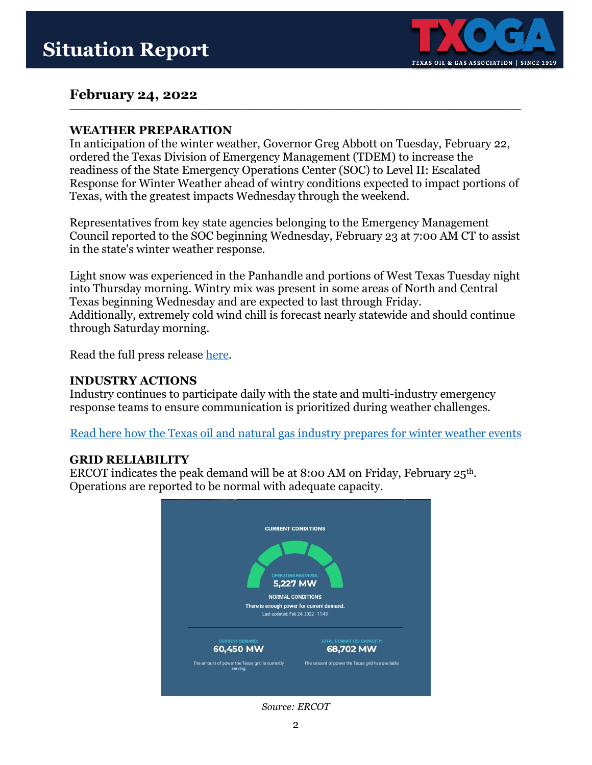

## **February 24, 2022**

#### **WEATHER PREPARATION**

In anticipation of the winter weather, Governor Greg Abbott on Tuesday, February 22, ordered the Texas Division of Emergency Management (TDEM) to increase the readiness of the State Emergency Operations Center (SOC) to Level II: Escalated Response for Winter Weather ahead of wintry conditions expected to impact portions of Texas, with the greatest impacts Wednesday through the weekend.

**\_\_\_\_\_\_\_\_\_\_\_\_\_\_\_\_\_\_\_\_\_\_\_\_\_\_\_\_\_\_\_\_\_\_\_\_\_\_\_\_\_\_\_\_\_\_\_\_\_\_\_\_\_\_\_\_\_\_\_\_\_\_\_\_\_\_\_\_\_\_\_\_\_\_\_\_\_\_\_\_\_\_\_**

Representatives from key state agencies belonging to the Emergency Management Council reported to the SOC beginning Wednesday, February 23 at 7:00 AM CT to assist in the state's winter weather response.

Light snow was experienced in the Panhandle and portions of West Texas Tuesday night into Thursday morning. Wintry mix was present in some areas of North and Central Texas beginning Wednesday and are expected to last through Friday. Additionally, extremely cold wind chill is forecast nearly statewide and should continue through Saturday morning.

Read the full press release [here.](https://gov.texas.gov/news/category/press-release)

#### **INDUSTRY ACTIONS**

Industry continues to participate daily with the state and multi-industry emergency response teams to ensure communication is prioritized during weather challenges.

[Read here how the Texas oil and natural gas industry prepares for winter weather events](https://www.txoga.org/winter-ready/)

#### **GRID RELIABILITY**

ERCOT indicates the peak demand will be at 8:00 AM on Friday, February 25th. Operations are reported to be normal with adequate capacity.



*Source: ERCOT*